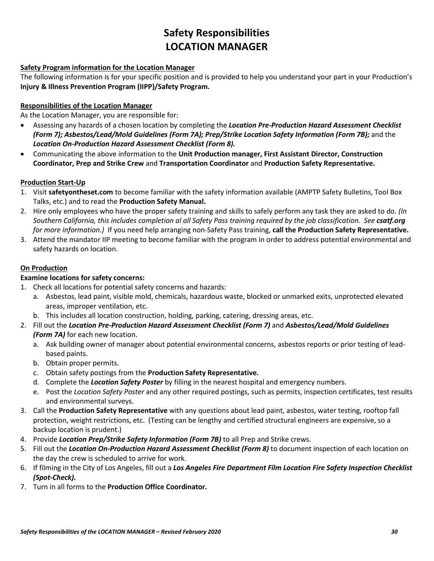## **Safety Responsibilities LOCATION MANAGER**

#### **Safety Program information for the Location Manager**

The following information is for your specific position and is provided to help you understand your part in your Production's **Injury & Illness Prevention Program (IIPP)/Safety Program.**

#### **Responsibilities of the Location Manager**

As the Location Manager, you are responsible for:

- Assessing any hazards of a chosen location by completing the *Location Pre-Production Hazard Assessment Checklist (Form 7); Asbestos/Lead/Mold Guidelines (Form 7A); Prep/Strike Location Safety Information (Form 7B);* and the *Location On-Production Hazard Assessment Checklist (Form 8).*
- Communicating the above information to the **Unit Production manager, First Assistant Director, Construction Coordinator, Prep and Strike Crew** and **Transportation Coordinator** and **Production Safety Representative.**

#### **Production Start-Up**

- 1. Visit **safetyontheset.com** to become familiar with the safety information available (AMPTP Safety Bulletins, Tool Box Talks, etc.) and to read the **Production Safety Manual.**
- 2. Hire only employees who have the proper safety training and skills to safely perform any task they are asked to do. *(In Southern California, this includes completion al all Safety Pass training required by the job classification. See csatf.org for more information.)* If you need help arranging non-Safety Pass training, **call the Production Safety Representative.**
- 3. Attend the mandator IIP meeting to become familiar with the program in order to address potential environmental and safety hazards on location.

#### **On Production**

#### **Examine locations for safety concerns:**

- 1. Check all locations for potential safety concerns and hazards:
	- a. Asbestos, lead paint, visible mold, chemicals, hazardous waste, blocked or unmarked exits, unprotected elevated areas, improper ventilation, etc.
	- b. This includes all location construction, holding, parking, catering, dressing areas, etc.
- 2. Fill out the *Location Pre-Production Hazard Assessment Checklist (Form 7)* and *Asbestos/Lead/Mold Guidelines (Form 7A)* for each new location.
	- a. Ask building owner of manager about potential environmental concerns, asbestos reports or prior testing of leadbased paints.
	- b. Obtain proper permits.
	- c. Obtain safety postings from the **Production Safety Representative.**
	- d. Complete the *Location Safety Poster* by filling in the nearest hospital and emergency numbers.
	- e. Post the *Location Safety Poster* and any other required postings, such as permits, inspection certificates, test results and environmental surveys.
- 3. Call the **Production Safety Representative** with any questions about lead paint, asbestos, water testing, rooftop fall protection, weight restrictions, etc. (Testing can be lengthy and certified structural engineers are expensive, so a backup location is prudent.)
- 4. Provide *Location Prep/Strike Safety Information (Form 7B)* to all Prep and Strike crews.
- 5. Fill out the *Location On-Production Hazard Assessment Checklist (Form 8)* to document inspection of each location on the day the crew is scheduled to arrive for work.
- 6. If filming in the City of Los Angeles, fill out a *Los Angeles Fire Department Film Location Fire Safety Inspection Checklist (Spot-Check).*
- 7. Turn in all forms to the **Production Office Coordinator.**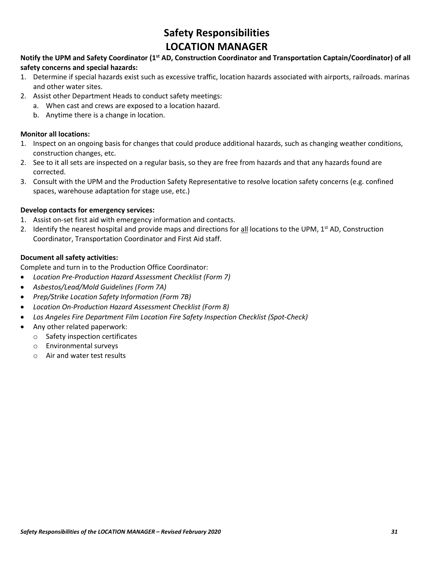## **Safety Responsibilities LOCATION MANAGER**

#### **Notify the UPM and Safety Coordinator (1st AD, Construction Coordinator and Transportation Captain/Coordinator) of all safety concerns and special hazards:**

- 1. Determine if special hazards exist such as excessive traffic, location hazards associated with airports, railroads. marinas and other water sites.
- 2. Assist other Department Heads to conduct safety meetings:
	- a. When cast and crews are exposed to a location hazard.
	- b. Anytime there is a change in location.

#### **Monitor all locations:**

- 1. Inspect on an ongoing basis for changes that could produce additional hazards, such as changing weather conditions, construction changes, etc.
- 2. See to it all sets are inspected on a regular basis, so they are free from hazards and that any hazards found are corrected.
- 3. Consult with the UPM and the Production Safety Representative to resolve location safety concerns (e.g. confined spaces, warehouse adaptation for stage use, etc.)

#### **Develop contacts for emergency services:**

- 1. Assist on-set first aid with emergency information and contacts.
- 2. Identify the nearest hospital and provide maps and directions for all locations to the UPM,  $1^{st}$  AD, Construction Coordinator, Transportation Coordinator and First Aid staff.

#### **Document all safety activities:**

Complete and turn in to the Production Office Coordinator:

- *Location Pre-Production Hazard Assessment Checklist (Form 7)*
- *Asbestos/Lead/Mold Guidelines (Form 7A)*
- *Prep/Strike Location Safety Information (Form 7B)*
- *Location On-Production Hazard Assessment Checklist (Form 8)*
- *Los Angeles Fire Department Film Location Fire Safety Inspection Checklist (Spot-Check)*
- Any other related paperwork:
	- o Safety inspection certificates
	- o Environmental surveys
	- o Air and water test results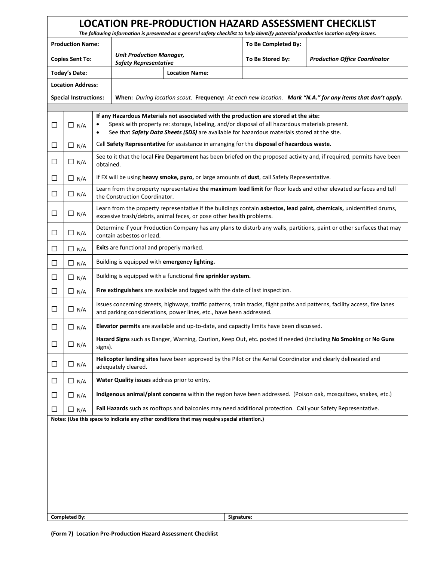|                                                                                              | <b>LOCATION PRE-PRODUCTION HAZARD ASSESSMENT CHECKLIST</b><br>The following information is presented as a general safety checklist to help identify potential production location safety issues. |                                                                                                                                                                                                                                                                                             |                                                                                             |  |                                                                                              |                                                                                                           |  |  |
|----------------------------------------------------------------------------------------------|--------------------------------------------------------------------------------------------------------------------------------------------------------------------------------------------------|---------------------------------------------------------------------------------------------------------------------------------------------------------------------------------------------------------------------------------------------------------------------------------------------|---------------------------------------------------------------------------------------------|--|----------------------------------------------------------------------------------------------|-----------------------------------------------------------------------------------------------------------|--|--|
| <b>Production Name:</b>                                                                      |                                                                                                                                                                                                  |                                                                                                                                                                                                                                                                                             |                                                                                             |  | To Be Completed By:                                                                          |                                                                                                           |  |  |
|                                                                                              | <b>Copies Sent To:</b>                                                                                                                                                                           |                                                                                                                                                                                                                                                                                             | <b>Unit Production Manager,</b><br><b>Safety Representative</b>                             |  | To Be Stored By:                                                                             | <b>Production Office Coordinator</b>                                                                      |  |  |
| <b>Today's Date:</b>                                                                         |                                                                                                                                                                                                  |                                                                                                                                                                                                                                                                                             | <b>Location Name:</b>                                                                       |  |                                                                                              |                                                                                                           |  |  |
| <b>Location Address:</b>                                                                     |                                                                                                                                                                                                  |                                                                                                                                                                                                                                                                                             |                                                                                             |  |                                                                                              |                                                                                                           |  |  |
|                                                                                              | <b>Special Instructions:</b>                                                                                                                                                                     |                                                                                                                                                                                                                                                                                             |                                                                                             |  |                                                                                              | When: During location scout. Frequency: At each new location. Mark "N.A." for any items that don't apply. |  |  |
| $\Box$                                                                                       | $\Box$ N/A                                                                                                                                                                                       | If any Hazardous Materials not associated with the production are stored at the site:<br>Speak with property re: storage, labeling, and/or disposal of all hazardous materials present.<br>See that Safety Data Sheets (SDS) are available for hazardous materials stored at the site.<br>٠ |                                                                                             |  |                                                                                              |                                                                                                           |  |  |
| $\Box$                                                                                       | $\Box$ N/A                                                                                                                                                                                       |                                                                                                                                                                                                                                                                                             | Call Safety Representative for assistance in arranging for the disposal of hazardous waste. |  |                                                                                              |                                                                                                           |  |  |
| $\Box$                                                                                       | $\Box$ N/A                                                                                                                                                                                       | See to it that the local Fire Department has been briefed on the proposed activity and, if required, permits have been<br>obtained.                                                                                                                                                         |                                                                                             |  |                                                                                              |                                                                                                           |  |  |
| ⊔                                                                                            | $\Box$ N/A                                                                                                                                                                                       |                                                                                                                                                                                                                                                                                             |                                                                                             |  | If FX will be using heavy smoke, pyro, or large amounts of dust, call Safety Representative. |                                                                                                           |  |  |
| $\Box$                                                                                       | $\Box$ N/A                                                                                                                                                                                       | Learn from the property representative the maximum load limit for floor loads and other elevated surfaces and tell<br>the Construction Coordinator.                                                                                                                                         |                                                                                             |  |                                                                                              |                                                                                                           |  |  |
| П                                                                                            | $\Box$ N/A                                                                                                                                                                                       | Learn from the property representative if the buildings contain asbestos, lead paint, chemicals, unidentified drums,<br>excessive trash/debris, animal feces, or pose other health problems.                                                                                                |                                                                                             |  |                                                                                              |                                                                                                           |  |  |
| ⊔                                                                                            | $\Box$ N/A                                                                                                                                                                                       | Determine if your Production Company has any plans to disturb any walls, partitions, paint or other surfaces that may<br>contain asbestos or lead.                                                                                                                                          |                                                                                             |  |                                                                                              |                                                                                                           |  |  |
| □                                                                                            | $\Box$ N/A                                                                                                                                                                                       | Exits are functional and properly marked.                                                                                                                                                                                                                                                   |                                                                                             |  |                                                                                              |                                                                                                           |  |  |
| ⊔                                                                                            | $\Box$ N/A                                                                                                                                                                                       | Building is equipped with emergency lighting.                                                                                                                                                                                                                                               |                                                                                             |  |                                                                                              |                                                                                                           |  |  |
| $\Box$                                                                                       | $\Box$ N/A                                                                                                                                                                                       | Building is equipped with a functional fire sprinkler system.                                                                                                                                                                                                                               |                                                                                             |  |                                                                                              |                                                                                                           |  |  |
| $\Box$                                                                                       | $\Box$ N/A                                                                                                                                                                                       | Fire extinguishers are available and tagged with the date of last inspection.                                                                                                                                                                                                               |                                                                                             |  |                                                                                              |                                                                                                           |  |  |
| ⊔                                                                                            | $\Box$ N/A                                                                                                                                                                                       | Issues concerning streets, highways, traffic patterns, train tracks, flight paths and patterns, facility access, fire lanes<br>and parking considerations, power lines, etc., have been addressed.                                                                                          |                                                                                             |  |                                                                                              |                                                                                                           |  |  |
| П                                                                                            | $\Box$ N/A                                                                                                                                                                                       | Elevator permits are available and up-to-date, and capacity limits have been discussed.                                                                                                                                                                                                     |                                                                                             |  |                                                                                              |                                                                                                           |  |  |
| $\Box$                                                                                       | $\Box$ N/A                                                                                                                                                                                       | Hazard Signs such as Danger, Warning, Caution, Keep Out, etc. posted if needed (including No Smoking or No Guns<br>signs).                                                                                                                                                                  |                                                                                             |  |                                                                                              |                                                                                                           |  |  |
| $\Box$                                                                                       | $\Box$ N/A                                                                                                                                                                                       | Helicopter landing sites have been approved by the Pilot or the Aerial Coordinator and clearly delineated and<br>adequately cleared.                                                                                                                                                        |                                                                                             |  |                                                                                              |                                                                                                           |  |  |
| П                                                                                            | $\Box$ N/A                                                                                                                                                                                       |                                                                                                                                                                                                                                                                                             | Water Quality issues address prior to entry.                                                |  |                                                                                              |                                                                                                           |  |  |
| $\Box$                                                                                       | $\Box$ N/A                                                                                                                                                                                       | Indigenous animal/plant concerns within the region have been addressed. (Poison oak, mosquitoes, snakes, etc.)                                                                                                                                                                              |                                                                                             |  |                                                                                              |                                                                                                           |  |  |
| Ш                                                                                            | $\Box$ N/A                                                                                                                                                                                       | Fall Hazards such as rooftops and balconies may need additional protection. Call your Safety Representative.                                                                                                                                                                                |                                                                                             |  |                                                                                              |                                                                                                           |  |  |
| Notes: (Use this space to indicate any other conditions that may require special attention.) |                                                                                                                                                                                                  |                                                                                                                                                                                                                                                                                             |                                                                                             |  |                                                                                              |                                                                                                           |  |  |
|                                                                                              |                                                                                                                                                                                                  |                                                                                                                                                                                                                                                                                             |                                                                                             |  |                                                                                              |                                                                                                           |  |  |
|                                                                                              |                                                                                                                                                                                                  |                                                                                                                                                                                                                                                                                             |                                                                                             |  |                                                                                              |                                                                                                           |  |  |
|                                                                                              |                                                                                                                                                                                                  |                                                                                                                                                                                                                                                                                             |                                                                                             |  |                                                                                              |                                                                                                           |  |  |
|                                                                                              |                                                                                                                                                                                                  |                                                                                                                                                                                                                                                                                             |                                                                                             |  |                                                                                              |                                                                                                           |  |  |
|                                                                                              |                                                                                                                                                                                                  |                                                                                                                                                                                                                                                                                             |                                                                                             |  |                                                                                              |                                                                                                           |  |  |
|                                                                                              |                                                                                                                                                                                                  |                                                                                                                                                                                                                                                                                             |                                                                                             |  |                                                                                              |                                                                                                           |  |  |
| <b>Completed By:</b><br>Signature:                                                           |                                                                                                                                                                                                  |                                                                                                                                                                                                                                                                                             |                                                                                             |  |                                                                                              |                                                                                                           |  |  |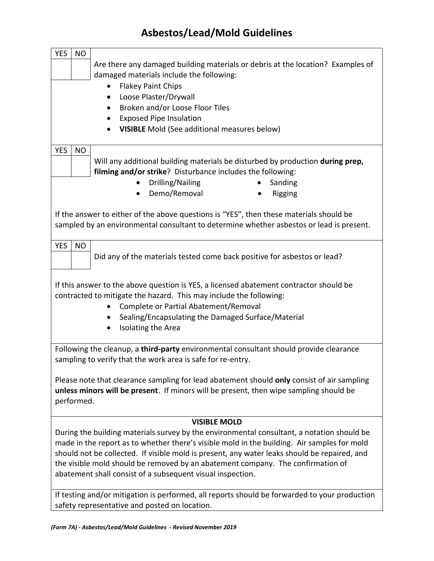## **Asbestos/Lead/Mold Guidelines**

| <b>YES</b>                                                                                 | <b>NO</b>                                                                                    |                                                                                               |  |  |  |
|--------------------------------------------------------------------------------------------|----------------------------------------------------------------------------------------------|-----------------------------------------------------------------------------------------------|--|--|--|
|                                                                                            | Are there any damaged building materials or debris at the location? Examples of              |                                                                                               |  |  |  |
|                                                                                            | damaged materials include the following:                                                     |                                                                                               |  |  |  |
|                                                                                            |                                                                                              | <b>Flakey Paint Chips</b><br>$\bullet$                                                        |  |  |  |
|                                                                                            |                                                                                              | Loose Plaster/Drywall<br>٠                                                                    |  |  |  |
|                                                                                            |                                                                                              | Broken and/or Loose Floor Tiles<br>$\bullet$                                                  |  |  |  |
|                                                                                            |                                                                                              | <b>Exposed Pipe Insulation</b>                                                                |  |  |  |
|                                                                                            |                                                                                              | <b>VISIBLE</b> Mold (See additional measures below)                                           |  |  |  |
| <b>YES</b>                                                                                 | <b>NO</b>                                                                                    |                                                                                               |  |  |  |
|                                                                                            |                                                                                              | Will any additional building materials be disturbed by production during prep,                |  |  |  |
|                                                                                            |                                                                                              | filming and/or strike? Disturbance includes the following:                                    |  |  |  |
|                                                                                            |                                                                                              | Drilling/Nailing<br>Sanding                                                                   |  |  |  |
|                                                                                            |                                                                                              | Demo/Removal<br>Rigging                                                                       |  |  |  |
|                                                                                            |                                                                                              |                                                                                               |  |  |  |
|                                                                                            |                                                                                              | If the answer to either of the above questions is "YES", then these materials should be       |  |  |  |
|                                                                                            |                                                                                              | sampled by an environmental consultant to determine whether asbestos or lead is present.      |  |  |  |
| <b>YES</b>                                                                                 | <b>NO</b>                                                                                    |                                                                                               |  |  |  |
|                                                                                            |                                                                                              | Did any of the materials tested come back positive for asbestos or lead?                      |  |  |  |
|                                                                                            |                                                                                              |                                                                                               |  |  |  |
|                                                                                            |                                                                                              |                                                                                               |  |  |  |
|                                                                                            |                                                                                              | If this answer to the above question is YES, a licensed abatement contractor should be        |  |  |  |
|                                                                                            |                                                                                              | contracted to mitigate the hazard. This may include the following:                            |  |  |  |
|                                                                                            |                                                                                              | Complete or Partial Abatement/Removal<br>$\bullet$                                            |  |  |  |
|                                                                                            |                                                                                              | Sealing/Encapsulating the Damaged Surface/Material<br>$\bullet$                               |  |  |  |
|                                                                                            |                                                                                              | Isolating the Area<br>$\bullet$                                                               |  |  |  |
|                                                                                            |                                                                                              | Following the cleanup, a third-party environmental consultant should provide clearance        |  |  |  |
|                                                                                            |                                                                                              | sampling to verify that the work area is safe for re-entry.                                   |  |  |  |
|                                                                                            |                                                                                              |                                                                                               |  |  |  |
|                                                                                            |                                                                                              | Please note that clearance sampling for lead abatement should only consist of air sampling    |  |  |  |
| unless minors will be present. If minors will be present, then wipe sampling should be     |                                                                                              |                                                                                               |  |  |  |
| performed.                                                                                 |                                                                                              |                                                                                               |  |  |  |
|                                                                                            |                                                                                              |                                                                                               |  |  |  |
| <b>VISIBLE MOLD</b>                                                                        |                                                                                              |                                                                                               |  |  |  |
| During the building materials survey by the environmental consultant, a notation should be |                                                                                              |                                                                                               |  |  |  |
|                                                                                            | made in the report as to whether there's visible mold in the building. Air samples for mold  |                                                                                               |  |  |  |
|                                                                                            | should not be collected. If visible mold is present, any water leaks should be repaired, and |                                                                                               |  |  |  |
|                                                                                            | the visible mold should be removed by an abatement company. The confirmation of              |                                                                                               |  |  |  |
|                                                                                            | abatement shall consist of a subsequent visual inspection.                                   |                                                                                               |  |  |  |
|                                                                                            |                                                                                              | If testing and/or mitigation is performed, all reports should be forwarded to your production |  |  |  |
|                                                                                            | safety representative and posted on location.                                                |                                                                                               |  |  |  |
|                                                                                            |                                                                                              |                                                                                               |  |  |  |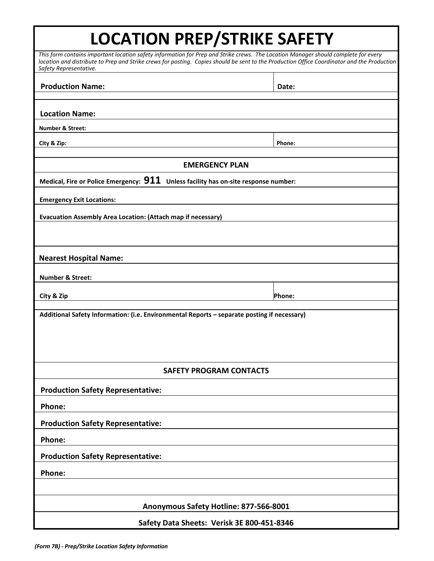# **LOCATION PREP/STRIKE SAFETY**

| This form contains important location safety information for Prep and Strike crews. The Location Manager should complete for every<br>location and distribute to Prep and Strike crews for posting. Copies should be sent to the Production Office Coordinator and the Production<br>Safety Representative. |        |  |  |  |
|-------------------------------------------------------------------------------------------------------------------------------------------------------------------------------------------------------------------------------------------------------------------------------------------------------------|--------|--|--|--|
| <b>Production Name:</b>                                                                                                                                                                                                                                                                                     | Date:  |  |  |  |
|                                                                                                                                                                                                                                                                                                             |        |  |  |  |
| <b>Location Name:</b>                                                                                                                                                                                                                                                                                       |        |  |  |  |
| <b>Number &amp; Street:</b>                                                                                                                                                                                                                                                                                 |        |  |  |  |
| City & Zip:                                                                                                                                                                                                                                                                                                 | Phone: |  |  |  |
| <b>EMERGENCY PLAN</b>                                                                                                                                                                                                                                                                                       |        |  |  |  |
| Medical, Fire or Police Emergency: $911$ Unless facility has on-site response number:                                                                                                                                                                                                                       |        |  |  |  |
| <b>Emergency Exit Locations:</b>                                                                                                                                                                                                                                                                            |        |  |  |  |
| Evacuation Assembly Area Location: (Attach map if necessary)                                                                                                                                                                                                                                                |        |  |  |  |
|                                                                                                                                                                                                                                                                                                             |        |  |  |  |
| <b>Nearest Hospital Name:</b>                                                                                                                                                                                                                                                                               |        |  |  |  |
| <b>Number &amp; Street:</b>                                                                                                                                                                                                                                                                                 |        |  |  |  |
| City & Zip                                                                                                                                                                                                                                                                                                  | Phone: |  |  |  |
| Additional Safety Information: (i.e. Environmental Reports - separate posting if necessary)                                                                                                                                                                                                                 |        |  |  |  |
|                                                                                                                                                                                                                                                                                                             |        |  |  |  |
|                                                                                                                                                                                                                                                                                                             |        |  |  |  |
|                                                                                                                                                                                                                                                                                                             |        |  |  |  |
| <b>SAFETY PROGRAM CONTACTS</b>                                                                                                                                                                                                                                                                              |        |  |  |  |
| <b>Production Safety Representative:</b>                                                                                                                                                                                                                                                                    |        |  |  |  |
| Phone:                                                                                                                                                                                                                                                                                                      |        |  |  |  |
| <b>Production Safety Representative:</b>                                                                                                                                                                                                                                                                    |        |  |  |  |
| Phone:                                                                                                                                                                                                                                                                                                      |        |  |  |  |
| <b>Production Safety Representative:</b>                                                                                                                                                                                                                                                                    |        |  |  |  |
| Phone:                                                                                                                                                                                                                                                                                                      |        |  |  |  |
|                                                                                                                                                                                                                                                                                                             |        |  |  |  |
| Anonymous Safety Hotline: 877-566-8001                                                                                                                                                                                                                                                                      |        |  |  |  |
| Safety Data Sheets: Verisk 3E 800-451-8346                                                                                                                                                                                                                                                                  |        |  |  |  |